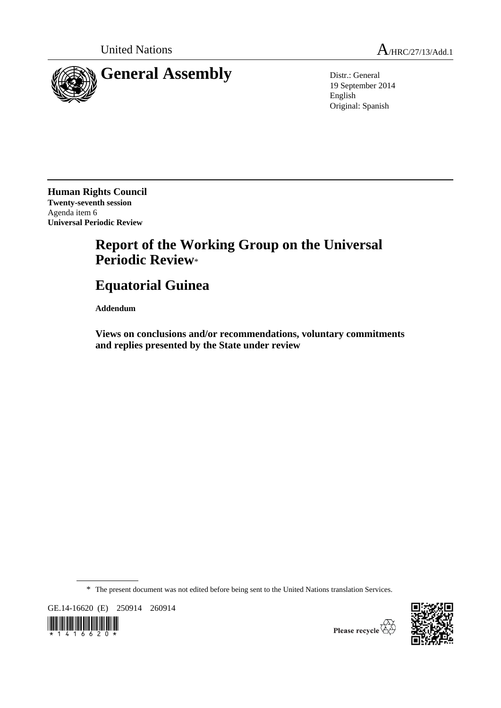

19 September 2014 English Original: Spanish

**Human Rights Council Twenty-seventh session** Agenda item 6 **Universal Periodic Review**

## **Report of the Working Group on the Universal Periodic Review**\*

# **Equatorial Guinea**

**Addendum**

**Views on conclusions and/or recommendations, voluntary commitments and replies presented by the State under review**

\* The present document was not edited before being sent to the United Nations translation Services.

GE.14-16620 (E) 250914 260914





Please recycle  $\overleftrightarrow{C}$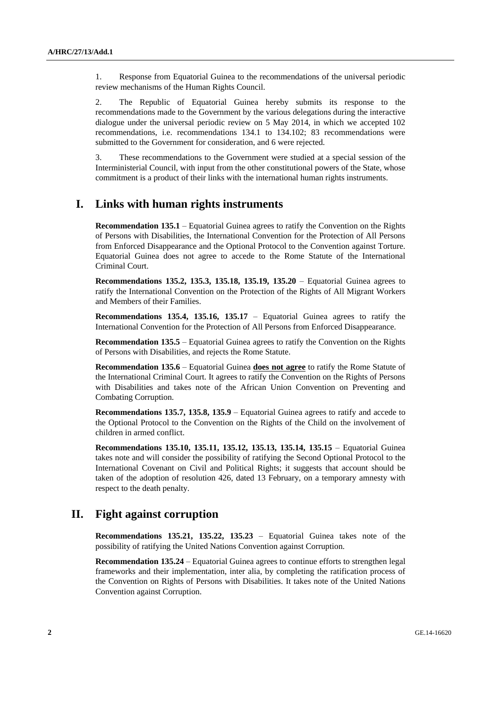1. Response from Equatorial Guinea to the recommendations of the universal periodic review mechanisms of the Human Rights Council.

2. The Republic of Equatorial Guinea hereby submits its response to the recommendations made to the Government by the various delegations during the interactive dialogue under the universal periodic review on 5 May 2014, in which we accepted 102 recommendations, i.e. recommendations 134.1 to 134.102; 83 recommendations were submitted to the Government for consideration, and 6 were rejected.

3. These recommendations to the Government were studied at a special session of the Interministerial Council, with input from the other constitutional powers of the State, whose commitment is a product of their links with the international human rights instruments.

## **I. Links with human rights instruments**

**Recommendation 135.1** – Equatorial Guinea agrees to ratify the Convention on the Rights of Persons with Disabilities, the International Convention for the Protection of All Persons from Enforced Disappearance and the Optional Protocol to the Convention against Torture. Equatorial Guinea does not agree to accede to the Rome Statute of the International Criminal Court.

**Recommendations 135.2, 135.3, 135.18, 135.19, 135.20** – Equatorial Guinea agrees to ratify the International Convention on the Protection of the Rights of All Migrant Workers and Members of their Families.

**Recommendations 135.4, 135.16, 135.17** – Equatorial Guinea agrees to ratify the International Convention for the Protection of All Persons from Enforced Disappearance.

**Recommendation 135.5** – Equatorial Guinea agrees to ratify the Convention on the Rights of Persons with Disabilities, and rejects the Rome Statute.

**Recommendation 135.6** – Equatorial Guinea **does not agree** to ratify the Rome Statute of the International Criminal Court. It agrees to ratify the Convention on the Rights of Persons with Disabilities and takes note of the African Union Convention on Preventing and Combating Corruption.

**Recommendations 135.7, 135.8, 135.9** – Equatorial Guinea agrees to ratify and accede to the Optional Protocol to the Convention on the Rights of the Child on the involvement of children in armed conflict.

**Recommendations 135.10, 135.11, 135.12, 135.13, 135.14, 135.15** – Equatorial Guinea takes note and will consider the possibility of ratifying the Second Optional Protocol to the International Covenant on Civil and Political Rights; it suggests that account should be taken of the adoption of resolution 426, dated 13 February, on a temporary amnesty with respect to the death penalty.

### **II. Fight against corruption**

**Recommendations 135.21, 135.22, 135.23** – Equatorial Guinea takes note of the possibility of ratifying the United Nations Convention against Corruption.

**Recommendation 135.24** – Equatorial Guinea agrees to continue efforts to strengthen legal frameworks and their implementation, inter alia, by completing the ratification process of the Convention on Rights of Persons with Disabilities. It takes note of the United Nations Convention against Corruption.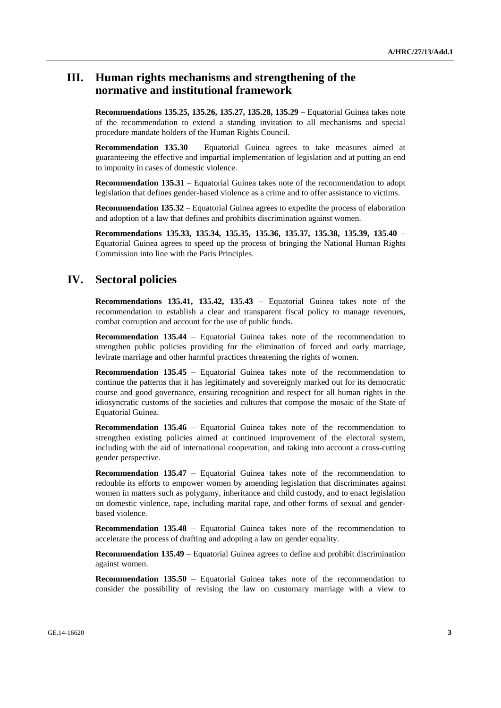## **III. Human rights mechanisms and strengthening of the normative and institutional framework**

**Recommendations 135.25, 135.26, 135.27, 135.28, 135.29** – Equatorial Guinea takes note of the recommendation to extend a standing invitation to all mechanisms and special procedure mandate holders of the Human Rights Council.

**Recommendation 135.30** – Equatorial Guinea agrees to take measures aimed at guaranteeing the effective and impartial implementation of legislation and at putting an end to impunity in cases of domestic violence.

**Recommendation 135.31** – Equatorial Guinea takes note of the recommendation to adopt legislation that defines gender-based violence as a crime and to offer assistance to victims.

**Recommendation 135.32** – Equatorial Guinea agrees to expedite the process of elaboration and adoption of a law that defines and prohibits discrimination against women.

**Recommendations 135.33, 135.34, 135.35, 135.36, 135.37, 135.38, 135.39, 135.40** – Equatorial Guinea agrees to speed up the process of bringing the National Human Rights Commission into line with the Paris Principles.

#### **IV. Sectoral policies**

**Recommendations 135.41, 135.42, 135.43** – Equatorial Guinea takes note of the recommendation to establish a clear and transparent fiscal policy to manage revenues, combat corruption and account for the use of public funds.

**Recommendation 135.44** – Equatorial Guinea takes note of the recommendation to strengthen public policies providing for the elimination of forced and early marriage, levirate marriage and other harmful practices threatening the rights of women.

**Recommendation 135.45** – Equatorial Guinea takes note of the recommendation to continue the patterns that it has legitimately and sovereignly marked out for its democratic course and good governance, ensuring recognition and respect for all human rights in the idiosyncratic customs of the societies and cultures that compose the mosaic of the State of Equatorial Guinea.

**Recommendation 135.46** – Equatorial Guinea takes note of the recommendation to strengthen existing policies aimed at continued improvement of the electoral system, including with the aid of international cooperation, and taking into account a cross-cutting gender perspective.

**Recommendation 135.47** – Equatorial Guinea takes note of the recommendation to redouble its efforts to empower women by amending legislation that discriminates against women in matters such as polygamy, inheritance and child custody, and to enact legislation on domestic violence, rape, including marital rape, and other forms of sexual and genderbased violence.

**Recommendation 135.48** – Equatorial Guinea takes note of the recommendation to accelerate the process of drafting and adopting a law on gender equality.

**Recommendation 135.49** – Equatorial Guinea agrees to define and prohibit discrimination against women.

**Recommendation 135.50** – Equatorial Guinea takes note of the recommendation to consider the possibility of revising the law on customary marriage with a view to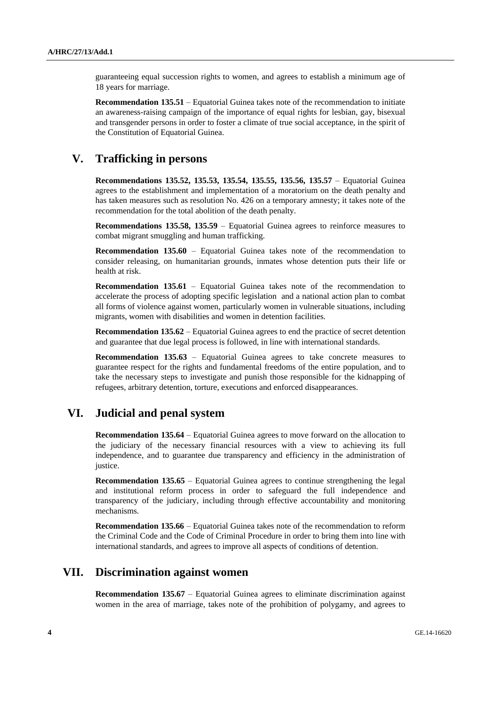guaranteeing equal succession rights to women, and agrees to establish a minimum age of 18 years for marriage.

**Recommendation 135.51** – Equatorial Guinea takes note of the recommendation to initiate an awareness-raising campaign of the importance of equal rights for lesbian, gay, bisexual and transgender persons in order to foster a climate of true social acceptance, in the spirit of the Constitution of Equatorial Guinea.

## **V. Trafficking in persons**

**Recommendations 135.52, 135.53, 135.54, 135.55, 135.56, 135.57** – Equatorial Guinea agrees to the establishment and implementation of a moratorium on the death penalty and has taken measures such as resolution No. 426 on a temporary amnesty; it takes note of the recommendation for the total abolition of the death penalty.

**Recommendations 135.58, 135.59** – Equatorial Guinea agrees to reinforce measures to combat migrant smuggling and human trafficking.

**Recommendation 135.60** – Equatorial Guinea takes note of the recommendation to consider releasing, on humanitarian grounds, inmates whose detention puts their life or health at risk.

**Recommendation 135.61** – Equatorial Guinea takes note of the recommendation to accelerate the process of adopting specific legislation and a national action plan to combat all forms of violence against women, particularly women in vulnerable situations, including migrants, women with disabilities and women in detention facilities.

**Recommendation 135.62** – Equatorial Guinea agrees to end the practice of secret detention and guarantee that due legal process is followed, in line with international standards.

**Recommendation 135.63** – Equatorial Guinea agrees to take concrete measures to guarantee respect for the rights and fundamental freedoms of the entire population, and to take the necessary steps to investigate and punish those responsible for the kidnapping of refugees, arbitrary detention, torture, executions and enforced disappearances.

#### **VI. Judicial and penal system**

**Recommendation 135.64** – Equatorial Guinea agrees to move forward on the allocation to the judiciary of the necessary financial resources with a view to achieving its full independence, and to guarantee due transparency and efficiency in the administration of justice.

**Recommendation 135.65** – Equatorial Guinea agrees to continue strengthening the legal and institutional reform process in order to safeguard the full independence and transparency of the judiciary, including through effective accountability and monitoring mechanisms.

**Recommendation 135.66** – Equatorial Guinea takes note of the recommendation to reform the Criminal Code and the Code of Criminal Procedure in order to bring them into line with international standards, and agrees to improve all aspects of conditions of detention.

#### **VII. Discrimination against women**

**Recommendation 135.67** – Equatorial Guinea agrees to eliminate discrimination against women in the area of marriage, takes note of the prohibition of polygamy, and agrees to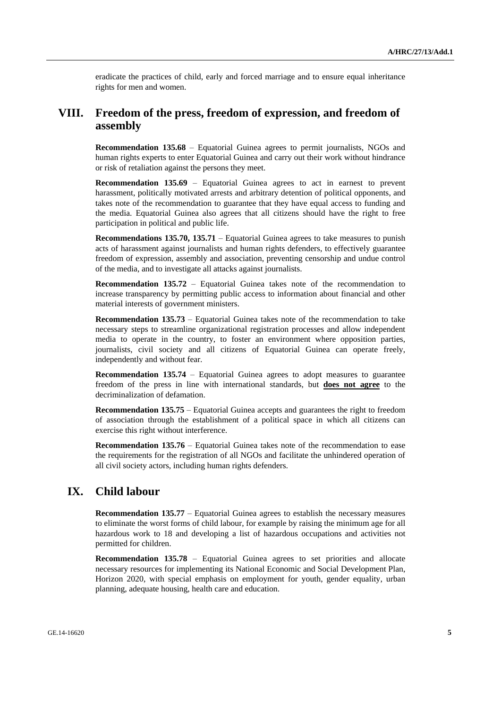eradicate the practices of child, early and forced marriage and to ensure equal inheritance rights for men and women.

## **VIII. Freedom of the press, freedom of expression, and freedom of assembly**

**Recommendation 135.68** – Equatorial Guinea agrees to permit journalists, NGOs and human rights experts to enter Equatorial Guinea and carry out their work without hindrance or risk of retaliation against the persons they meet.

**Recommendation 135.69** – Equatorial Guinea agrees to act in earnest to prevent harassment, politically motivated arrests and arbitrary detention of political opponents, and takes note of the recommendation to guarantee that they have equal access to funding and the media. Equatorial Guinea also agrees that all citizens should have the right to free participation in political and public life.

**Recommendations 135.70, 135.71** – Equatorial Guinea agrees to take measures to punish acts of harassment against journalists and human rights defenders, to effectively guarantee freedom of expression, assembly and association, preventing censorship and undue control of the media, and to investigate all attacks against journalists.

**Recommendation 135.72** – Equatorial Guinea takes note of the recommendation to increase transparency by permitting public access to information about financial and other material interests of government ministers.

**Recommendation 135.73** – Equatorial Guinea takes note of the recommendation to take necessary steps to streamline organizational registration processes and allow independent media to operate in the country, to foster an environment where opposition parties, journalists, civil society and all citizens of Equatorial Guinea can operate freely, independently and without fear.

**Recommendation 135.74** – Equatorial Guinea agrees to adopt measures to guarantee freedom of the press in line with international standards, but **does not agree** to the decriminalization of defamation.

**Recommendation 135.75** – Equatorial Guinea accepts and guarantees the right to freedom of association through the establishment of a political space in which all citizens can exercise this right without interference.

**Recommendation 135.76** – Equatorial Guinea takes note of the recommendation to ease the requirements for the registration of all NGOs and facilitate the unhindered operation of all civil society actors, including human rights defenders.

## **IX. Child labour**

**Recommendation 135.77** – Equatorial Guinea agrees to establish the necessary measures to eliminate the worst forms of child labour, for example by raising the minimum age for all hazardous work to 18 and developing a list of hazardous occupations and activities not permitted for children.

**Recommendation 135.78** – Equatorial Guinea agrees to set priorities and allocate necessary resources for implementing its National Economic and Social Development Plan, Horizon 2020, with special emphasis on employment for youth, gender equality, urban planning, adequate housing, health care and education.